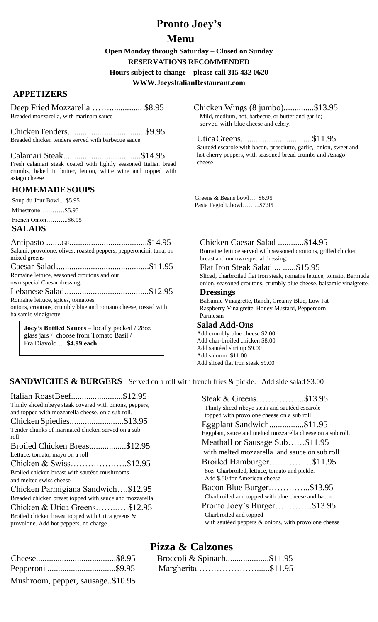# **Pronto Joey's**

## **Menu**

**Open Monday through Saturday – Closed on Sunday RESERVATIONS RECOMMENDED** 

#### **Hours subject to change – please call 315 432 0620**

**WWW.JoeysItalianRestaurant.com**

### **APPETIZERS**

| Deep Fried Mozzarella  \$8.95           |  |
|-----------------------------------------|--|
| Breaded mozzarella, with marinara sauce |  |

ChickenTenders....................................\$9.95 Breaded chicken tenders served with barbecue sauce

Calamari Steak....................................\$14.95 Fresh calamari steak coated with lightly seasoned Italian bread crumbs, baked in butter, lemon, white wine and topped with asiago cheese

## **HOMEMADESOUPS**

Soup du Jour Bowl....\$5.95

Minestrone…………\$5.95

French Onion………..\$6.95

## **SALADS**

Antipasto .......GF....................................\$14.95 Salami, provolone, olives, roasted peppers, pepperoncini, tuna, on mixed greens

Caesar Salad...........................................\$11.95 Romaine lettuce, seasoned croutons and our own special Caesar dressing.

Lebanese Salad.......................................\$12.95 Romaine lettuce, spices, tomatoes,

onions, croutons, crumbly blue and romano cheese, tossed with balsamic vinaigrette

**Joey's Bottled Sauces** – locally packed / 28oz glass jars / choose from Tomato Basil / Fra Diavolo ….**\$4.99 each** 

### Chicken Wings (8 jumbo)..............\$13.95

Mild, medium, hot, barbecue, or butter and garlic; served with blue cheese and celery.

### UticaGreens.................................\$11.95

Sauteéd escarole with bacon, prosciutto, garlic, onion, sweet and hot cherry peppers, with seasoned bread crumbs and Asiago cheese

Greens  $\&$  Beans bowl... \$6.95 Pasta Fagioli..bowl……...\$7.95

#### Chicken Caesar Salad ............\$14.95 Romaine lettuce served with seasoned croutons, grilled chicken breast and our own special dressing.

Flat Iron Steak Salad ... ......\$15.95

Sliced, charbroiled flat iron steak, romaine lettuce, tomato, Bermuda onion, seasoned croutons, crumbly blue cheese, balsamic vinaigrette.

### **Dressings**

Balsamic Vinaigrette, Ranch, Creamy Blue, Low Fat Raspberry Vinaigrette, Honey Mustard, Peppercorn Parmesan

### **Salad Add-Ons**

Add crumbly blue cheese \$2.00 Add char-broiled chicken \$8.00 Add sautéed shrimp \$9.00 Add salmon \$11.00 Add sliced flat iron steak \$9.00

## **SANDWICHES & BURGERS** Served on a roll with french fries & pickle. Add side salad \$3.00

Italian RoastBeef........................\$12.95 Thinly sliced ribeye steak covered with onions, peppers, and topped with mozzarella cheese, on a sub roll. Chicken Spiedies.........................\$13.95 Tender chunks of marinated chicken served on a sub roll. Broiled Chicken Breast................\$12.95 Lettuce, tomato, mayo on a roll Chicken & Swiss…………….….\$12.95 Broiled chicken breast with sautéed mushrooms and melted swiss cheese Chicken Parmigiana Sandwich….\$12.95 Breaded chicken breast topped with sauce and mozzarella Chicken & Utica Greens……..….\$12.95 Broiled chicken breast topped with Utica greens & provolone. Add hot peppers, no charge

| Steak & Greens\$13.95                                       |
|-------------------------------------------------------------|
| Thinly sliced ribeye steak and sautéed escarole             |
| topped with provolone cheese on a sub roll                  |
| Eggplant Sandwich\$11.95                                    |
| Eggplant, sauce and melted mozzarella cheese on a sub roll. |
| Meatball or Sausage Sub\$11.95                              |
| with melted mozzarella and sauce on sub roll                |
| Broiled Hamburger\$11.95                                    |
| 8oz Charbroiled, lettuce, tomato and pickle.                |
| Add \$.50 for American cheese                               |
| Bacon Blue Burger\$13.95                                    |
| Charbroiled and topped with blue cheese and bacon           |
| Pronto Joey's Burger\$13.95                                 |
| Charbroiled and topped                                      |
| with sautéed peppers & onions, with provolone cheese        |

|                                  | Broccoli & Spinach\$11.95 |  |
|----------------------------------|---------------------------|--|
| Pepperoni \$9.95                 | Margherita\$11.95         |  |
| Mushroom, pepper, sausage\$10.95 |                           |  |

# **Pizza & Calzones**

|                  | Broccoli & Spinach\$11.95 |  |
|------------------|---------------------------|--|
| Pepperoni \$9.95 | Margherita\$11.95         |  |